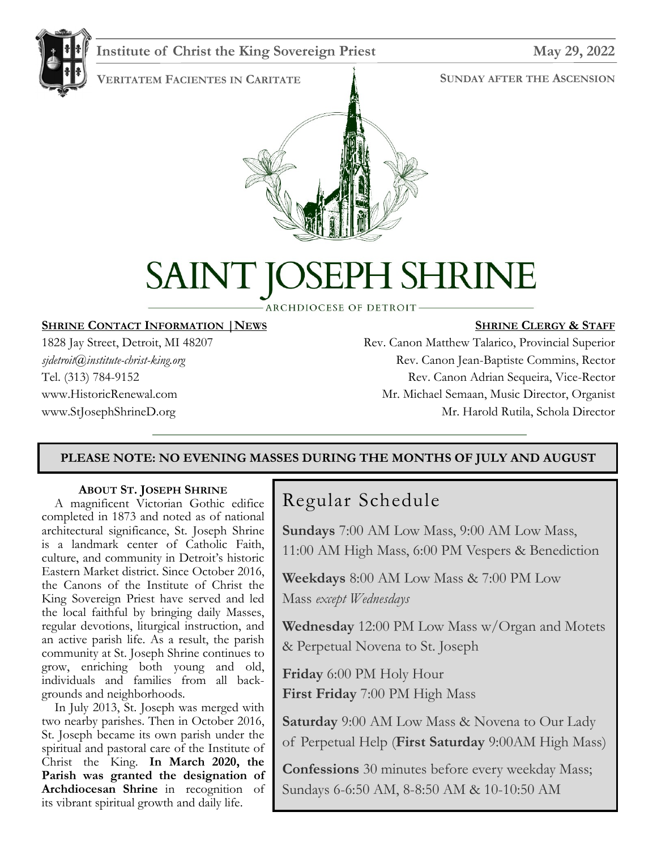

#### **Institute of Christ the King Sovereign Priest May 29, 2022**

**VERITATEM FACIENTES IN CARITATE**

#### **SUNDAY AFTER THE ASCENSION**



# PH SHRINE SAINT K

**ARCHDIOCESE OF DETROIT-**

#### **SHRINE CONTACT INFORMATION |NEWS**

1828 Jay Street, Detroit, MI 48207 *sjdetroit@institute-christ-king.org* Tel. (313) 784-9152 www.HistoricRenewal.com www.StJosephShrineD.org

#### **SHRINE CLERGY & STAFF**

Rev. Canon Matthew Talarico, Provincial Superior Rev. Canon Jean-Baptiste Commins, Rector Rev. Canon Adrian Sequeira, Vice-Rector Mr. Michael Semaan, Music Director, Organist Mr. Harold Rutila, Schola Director

#### **PLEASE NOTE: NO EVENING MASSES DURING THE MONTHS OF JULY AND AUGUST**

#### **ABOUT ST. JOSEPH SHRINE**

 A magnificent Victorian Gothic edifice completed in 1873 and noted as of national architectural significance, St. Joseph Shrine is a landmark center of Catholic Faith, culture, and community in Detroit's historic Eastern Market district. Since October 2016, the Canons of the Institute of Christ the King Sovereign Priest have served and led the local faithful by bringing daily Masses, regular devotions, liturgical instruction, and an active parish life. As a result, the parish community at St. Joseph Shrine continues to grow, enriching both young and old, individuals and families from all backgrounds and neighborhoods.

 In July 2013, St. Joseph was merged with two nearby parishes. Then in October 2016, St. Joseph became its own parish under the spiritual and pastoral care of the Institute of Christ the King. **In March 2020, the Parish was granted the designation of Archdiocesan Shrine** in recognition of its vibrant spiritual growth and daily life.

# Regular Schedule

**Sundays** 7:00 AM Low Mass, 9:00 AM Low Mass, 11:00 AM High Mass, 6:00 PM Vespers & Benediction

**Weekdays** 8:00 AM Low Mass & 7:00 PM Low Mass *except Wednesdays*

**Wednesday** 12:00 PM Low Mass w/Organ and Motets & Perpetual Novena to St. Joseph

**Friday** 6:00 PM Holy Hour **First Friday** 7:00 PM High Mass

**Saturday** 9:00 AM Low Mass & Novena to Our Lady of Perpetual Help (**First Saturday** 9:00AM High Mass)

**Confessions** 30 minutes before every weekday Mass; Sundays 6-6:50 AM, 8-8:50 AM & 10-10:50 AM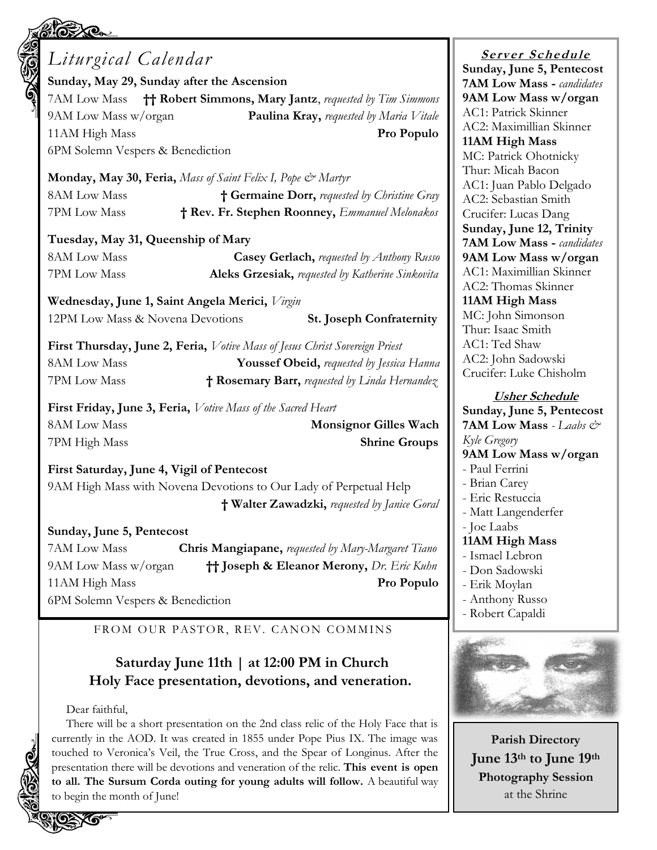| <b>SOLUTION</b> | Liturgical Calendar<br>Sunday, May 29, Sunday after the Ascension           |                                                      | <b>Server Schedule</b>                                   |
|-----------------|-----------------------------------------------------------------------------|------------------------------------------------------|----------------------------------------------------------|
|                 |                                                                             |                                                      | Sunday, June 5, Pentecost                                |
|                 | 7AM Low Mass +++ Robert Simmons, Mary Jantz, requested by Tim Simmons       |                                                      | <b>7AM Low Mass - candidates</b><br>9AM Low Mass w/organ |
|                 | 9AM Low Mass w/organ                                                        |                                                      | AC1: Patrick Skinner                                     |
|                 |                                                                             | <b>Paulina Kray, requested by Maria Vitale</b>       | AC2: Maximillian Skinner                                 |
|                 | 11AM High Mass<br>Pro Populo                                                |                                                      | 11AM High Mass                                           |
|                 | 6PM Solemn Vespers & Benediction                                            |                                                      | MC: Patrick Ohotnicky                                    |
|                 | Monday, May 30, Feria, Mass of Saint Felix I, Pope & Martyr                 |                                                      | Thur: Micah Bacon                                        |
|                 | <b>8AM Low Mass</b><br>† Germaine Dorr, requested by Christine Gray         |                                                      | AC1: Juan Pablo Delgado                                  |
|                 | 7PM Low Mass                                                                | † Rev. Fr. Stephen Roonney, Emmanuel Melonakos       | AC2: Sebastian Smith                                     |
|                 |                                                                             |                                                      | Crucifer: Lucas Dang<br>Sunday, June 12, Trinity         |
|                 | Tuesday, May 31, Queenship of Mary                                          |                                                      | <b>7AM Low Mass - candidates</b>                         |
|                 | 8AM Low Mass                                                                | Casey Gerlach, requested by Anthony Russo            | 9AM Low Mass w/organ                                     |
|                 | 7PM Low Mass                                                                | Aleks Grzesiak, requested by Katherine Sinkovita     | AC1: Maximillian Skinner                                 |
|                 |                                                                             |                                                      | AC2: Thomas Skinner                                      |
|                 | Wednesday, June 1, Saint Angela Merici, Virgin                              |                                                      | 11AM High Mass                                           |
|                 | 12PM Low Mass & Novena Devotions<br><b>St. Joseph Confraternity</b>         |                                                      | MC: John Simonson                                        |
|                 |                                                                             |                                                      | Thur: Isaac Smith                                        |
|                 | First Thursday, June 2, Feria, Votive Mass of Jesus Christ Sovereign Priest |                                                      | AC1: Ted Shaw                                            |
|                 | <b>8AM Low Mass</b>                                                         | Youssef Obeid, requested by Jessica Hanna            | AC2: John Sadowski<br>Crucifer: Luke Chisholm            |
|                 | 7PM Low Mass                                                                | † Rosemary Barr, requested by Linda Hernandez        |                                                          |
|                 | First Friday, June 3, Feria, Votive Mass of the Sacred Heart                |                                                      | <b>Usher Schedule</b>                                    |
|                 |                                                                             | Sunday, June 5, Pentecost                            |                                                          |
|                 | <b>8AM Low Mass</b>                                                         | <b>Monsignor Gilles Wach</b>                         | <b>7AM Low Mass</b> - Laabs &                            |
|                 | 7PM High Mass                                                               | <b>Shrine Groups</b>                                 | Kyle Gregory<br>9AM Low Mass w/organ                     |
|                 | First Saturday, June 4, Vigil of Pentecost                                  |                                                      | - Paul Ferrini                                           |
|                 |                                                                             | - Brian Carey                                        |                                                          |
|                 | 9AM High Mass with Novena Devotions to Our Lady of Perpetual Help           |                                                      | - Eric Restuccia                                         |
|                 |                                                                             | † Walter Zawadzki, requested by Janice Goral         | - Matt Langenderfer                                      |
|                 | Sunday, June 5, Pentecost                                                   | - Joe Laabs                                          |                                                          |
|                 | 7AM Low Mass                                                                | Chris Mangiapane, requested by Mary-Margaret Tiano   | 11AM High Mass                                           |
|                 | 9AM Low Mass w/organ                                                        | <b>†† Joseph &amp; Eleanor Merony, Dr. Eric Kuhn</b> | - Ismael Lebron                                          |
|                 | 11AM High Mass                                                              | Pro Populo                                           | - Don Sadowski<br>- Erik Moylan                          |
|                 | 6PM Solemn Vespers & Benediction                                            |                                                      | - Anthony Russo                                          |
|                 |                                                                             |                                                      | - Robert Capaldi                                         |
|                 | FROM OUR PASTOR, REV. CANON COMMINS                                         |                                                      |                                                          |
|                 |                                                                             |                                                      |                                                          |
|                 | Saturday June 11th   at 12:00 PM in Church                                  |                                                      |                                                          |
|                 | Holy Face presentation, devotions, and veneration.                          |                                                      |                                                          |
|                 |                                                                             |                                                      |                                                          |
|                 | Dear faithful,                                                              |                                                      |                                                          |

There will be a short presentation on the 2nd class relic of the Holy Face that is currently in the AOD. It was created in 1855 under Pope Pius IX. The image was touched to Veronica's Veil, the True Cross, and the Spear of Longinus. After the presentation there will be devotions and veneration of the relic. **This event is open to all. The Sursum Corda outing for young adults will follow.** A beautiful way to begin the month of June!

 $\mathbf{e}$ 

<u>e</u>

O

## **Parish Directory June 13th to June 19th Photography Session** at the Shrine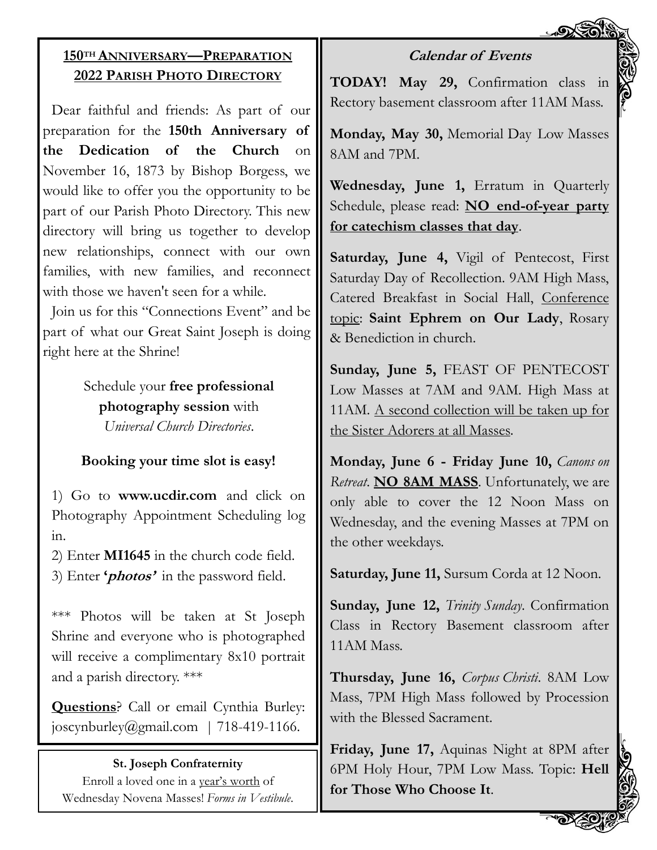## **150TH ANNIVERSARY—PREPARATION 2022 PARISH PHOTO DIRECTORY**

Dear faithful and friends: As part of our preparation for the **150th Anniversary of the Dedication of the Church** on November 16, 1873 by Bishop Borgess, we would like to offer you the opportunity to be part of our Parish Photo Directory. This new directory will bring us together to develop new relationships, connect with our own families, with new families, and reconnect with those we haven't seen for a while.

Join us for this "Connections Event" and be part of what our Great Saint Joseph is doing right here at the Shrine!

> Schedule your **free professional photography session** with *Universal Church Directories*.

## **Booking your time slot is easy!**

1) Go to **www.ucdir.com** and click on Photography Appointment Scheduling log in.

2) Enter **MI1645** in the church code field. 3) Enter **'photos'** in the password field.

\*\*\* Photos will be taken at St Joseph Shrine and everyone who is photographed will receive a complimentary 8x10 portrait and a parish directory. \*\*\*

**Questions**? Call or email Cynthia Burley: joscynburley@gmail.com | 718-419-1166.

#### **St. Joseph Confraternity**

Enroll a loved one in a year's worth of Wednesday Novena Masses! *Forms in Vestibule*.

## **Calendar of Events**

**TODAY! May 29,** Confirmation class in Rectory basement classroom after 11AM Mass.

**Monday, May 30,** Memorial Day Low Masses 8AM and 7PM.

**Wednesday, June 1,** Erratum in Quarterly Schedule, please read: **NO end-of-year party for catechism classes that day**.

**Saturday, June 4,** Vigil of Pentecost, First Saturday Day of Recollection. 9AM High Mass, Catered Breakfast in Social Hall, Conference topic: **Saint Ephrem on Our Lady**, Rosary & Benediction in church.

**Sunday, June 5,** FEAST OF PENTECOST Low Masses at 7AM and 9AM. High Mass at 11AM. A second collection will be taken up for the Sister Adorers at all Masses.

**Monday, June 6 - Friday June 10,** *Canons on Retreat*. **NO 8AM MASS**. Unfortunately, we are only able to cover the 12 Noon Mass on Wednesday, and the evening Masses at 7PM on the other weekdays.

**Saturday, June 11,** Sursum Corda at 12 Noon.

**Sunday, June 12,** *Trinity Sunday*. Confirmation Class in Rectory Basement classroom after 11AM Mass.

**Thursday, June 16,** *Corpus Christi*. 8AM Low Mass, 7PM High Mass followed by Procession with the Blessed Sacrament.

**Friday, June 17,** Aquinas Night at 8PM after 6PM Holy Hour, 7PM Low Mass. Topic: **Hell for Those Who Choose It**.